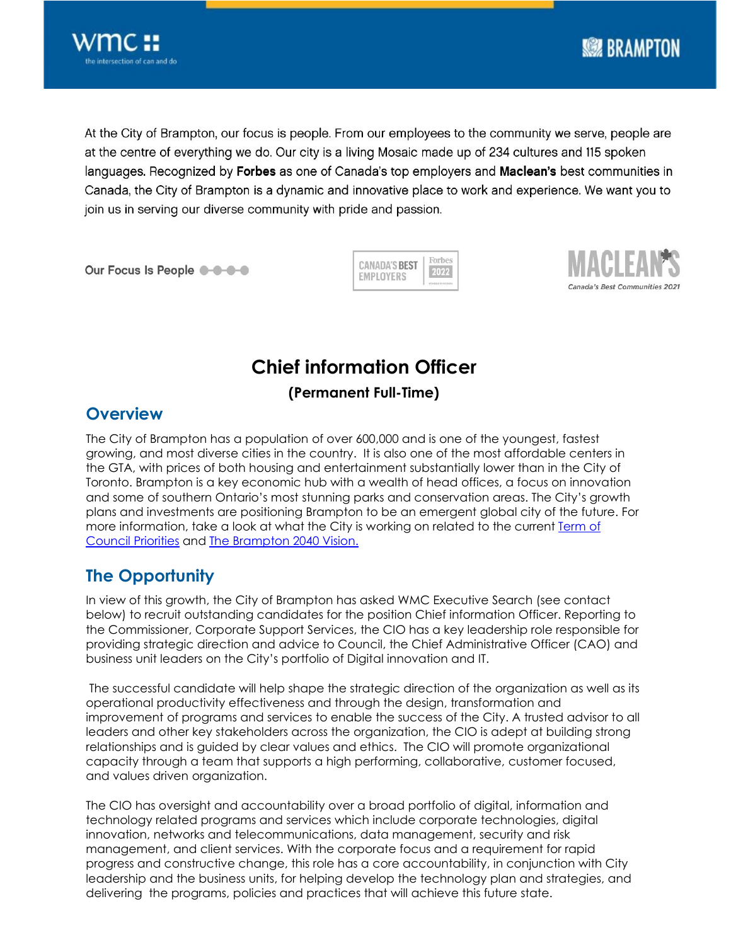

At the City of Brampton, our focus is people. From our employees to the community we serve, people are at the centre of everything we do. Our city is a living Mosaic made up of 234 cultures and 115 spoken languages. Recognized by Forbes as one of Canada's top employers and Maclean's best communities in Canada, the City of Brampton is a dynamic and innovative place to work and experience. We want you to join us in serving our diverse community with pride and passion.

Our Focus Is People **@-0-0-0** 

Forbes **CANADA'S BEST** 2022 **EMPLOYERS** 



# **Chief information Officer**

#### **(Permanent Full-Time)**

#### **Overview**

The City of Brampton has a population of over 600,000 and is one of the youngest, fastest growing, and most diverse cities in the country. It is also one of the most affordable centers in the GTA, with prices of both housing and entertainment substantially lower than in the City of Toronto. Brampton is a key economic hub with a wealth of head offices, a focus on innovation and some of southern Ontario's most stunning parks and conservation areas. The City's growth plans and investments are positioning Brampton to be an emergent global city of the future. For more information, take a look at what the City is working on related to the current [Term of](http://www.brampton.ca/EN/City-Hall/Council-Priorities/Pages/Welcome.aspx) Council [Priorities](http://www.brampton.ca/EN/City-Hall/Council-Priorities/Pages/Welcome.aspx) and The [Brampton 2040 Vision.](http://www.brampton.ca/EN/City-Hall/Brampton-2040-Vision/Pages/Welcome.aspx)

## **The Opportunity**

In view of this growth, the City of Brampton has asked WMC Executive Search (see contact below) to recruit outstanding candidates for the position Chief information Officer. Reporting to the Commissioner, Corporate Support Services, the CIO has a key leadership role responsible for providing strategic direction and advice to Council, the Chief Administrative Officer (CAO) and business unit leaders on the City's portfolio of Digital innovation and IT.

The successful candidate will help shape the strategic direction of the organization as well as its operational productivity effectiveness and through the design, transformation and improvement of programs and services to enable the success of the City. A trusted advisor to all leaders and other key stakeholders across the organization, the CIO is adept at building strong relationships and is guided by clear values and ethics. The CIO will promote organizational capacity through a team that supports a high performing, collaborative, customer focused, and values driven organization.

The CIO has oversight and accountability over a broad portfolio of digital, information and technology related programs and services which include corporate technologies, digital innovation, networks and telecommunications, data management, security and risk management, and client services. With the corporate focus and a requirement for rapid progress and constructive change, this role has a core accountability, in conjunction with City leadership and the business units, for helping develop the technology plan and strategies, and delivering the programs, policies and practices that will achieve this future state.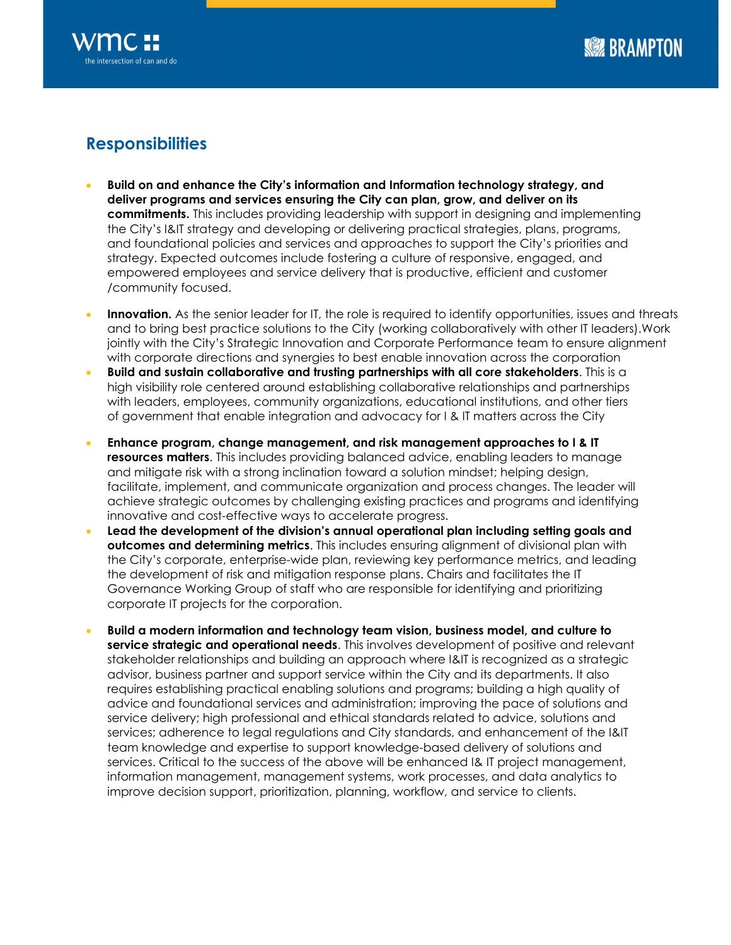



### **Responsibilities**

- **Build on and enhance the City's information and Information technology strategy, and deliver programs and services ensuring the City can plan, grow, and deliver on its commitments.** This includes providing leadership with support in designing and implementing the City's I&IT strategy and developing or delivering practical strategies, plans, programs, and foundational policies and services and approaches to support the City's priorities and strategy. Expected outcomes include fostering a culture of responsive, engaged, and empowered employees and service delivery that is productive, efficient and customer /community focused.
- **Innovation.** As the senior leader for IT, the role is required to identify opportunities, issues and threats and to bring best practice solutions to the City (working collaboratively with other IT leaders).Work jointly with the City's Strategic Innovation and Corporate Performance team to ensure alignment with corporate directions and synergies to best enable innovation across the corporation
- **Build and sustain collaborative and trusting partnerships with all core stakeholders**. This is a high visibility role centered around establishing collaborative relationships and partnerships with leaders, employees, community organizations, educational institutions, and other tiers of government that enable integration and advocacy for I & IT matters across the City
- **Enhance program, change management, and risk management approaches to I & IT resources matters**. This includes providing balanced advice, enabling leaders to manage and mitigate risk with a strong inclination toward a solution mindset; helping design, facilitate, implement, and communicate organization and process changes. The leader will achieve strategic outcomes by challenging existing practices and programs and identifying innovative and cost-effective ways to accelerate progress.
- **Lead the development of the division's annual operational plan including setting goals and outcomes and determining metrics**. This includes ensuring alignment of divisional plan with the City's corporate, enterprise-wide plan, reviewing key performance metrics, and leading the development of risk and mitigation response plans. Chairs and facilitates the IT Governance Working Group of staff who are responsible for identifying and prioritizing corporate IT projects for the corporation.
- **Build a modern information and technology team vision, business model, and culture to service strategic and operational needs**. This involves development of positive and relevant stakeholder relationships and building an approach where I&IT is recognized as a strategic advisor, business partner and support service within the City and its departments. It also requires establishing practical enabling solutions and programs; building a high quality of advice and foundational services and administration; improving the pace of solutions and service delivery; high professional and ethical standards related to advice, solutions and services; adherence to legal regulations and City standards, and enhancement of the I&IT team knowledge and expertise to support knowledge-based delivery of solutions and services. Critical to the success of the above will be enhanced I& IT project management, information management, management systems, work processes, and data analytics to improve decision support, prioritization, planning, workflow, and service to clients.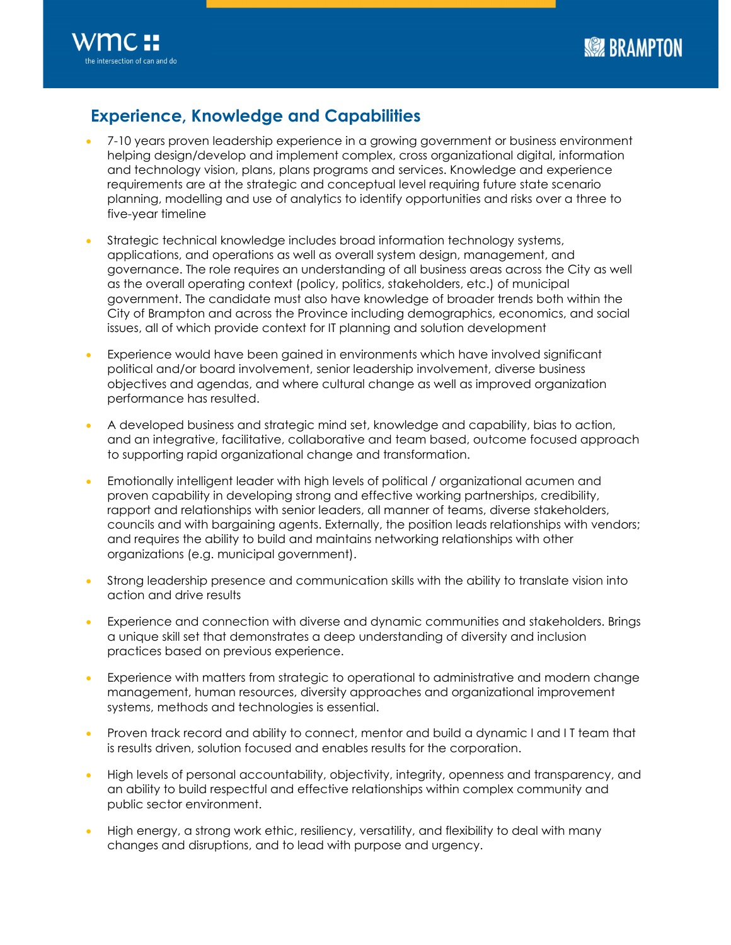



#### **Experience, Knowledge and Capabilities**

- 7-10 years proven leadership experience in a growing government or business environment helping design/develop and implement complex, cross organizational digital, information and technology vision, plans, plans programs and services. Knowledge and experience requirements are at the strategic and conceptual level requiring future state scenario planning, modelling and use of analytics to identify opportunities and risks over a three to five-year timeline
- Strategic technical knowledge includes broad information technology systems, applications, and operations as well as overall system design, management, and governance. The role requires an understanding of all business areas across the City as well as the overall operating context (policy, politics, stakeholders, etc.) of municipal government. The candidate must also have knowledge of broader trends both within the City of Brampton and across the Province including demographics, economics, and social issues, all of which provide context for IT planning and solution development
- Experience would have been gained in environments which have involved significant political and/or board involvement, senior leadership involvement, diverse business objectives and agendas, and where cultural change as well as improved organization performance has resulted.
- A developed business and strategic mind set, knowledge and capability, bias to action, and an integrative, facilitative, collaborative and team based, outcome focused approach to supporting rapid organizational change and transformation.
- Emotionally intelligent leader with high levels of political / organizational acumen and proven capability in developing strong and effective working partnerships, credibility, rapport and relationships with senior leaders, all manner of teams, diverse stakeholders, councils and with bargaining agents. Externally, the position leads relationships with vendors; and requires the ability to build and maintains networking relationships with other organizations (e.g. municipal government).
- Strong leadership presence and communication skills with the ability to translate vision into action and drive results
- Experience and connection with diverse and dynamic communities and stakeholders. Brings a unique skill set that demonstrates a deep understanding of diversity and inclusion practices based on previous experience.
- Experience with matters from strategic to operational to administrative and modern change management, human resources, diversity approaches and organizational improvement systems, methods and technologies is essential.
- Proven track record and ability to connect, mentor and build a dynamic I and I T team that is results driven, solution focused and enables results for the corporation.
- High levels of personal accountability, objectivity, integrity, openness and transparency, and an ability to build respectful and effective relationships within complex community and public sector environment.
- High energy, a strong work ethic, resiliency, versatility, and flexibility to deal with many changes and disruptions, and to lead with purpose and urgency.